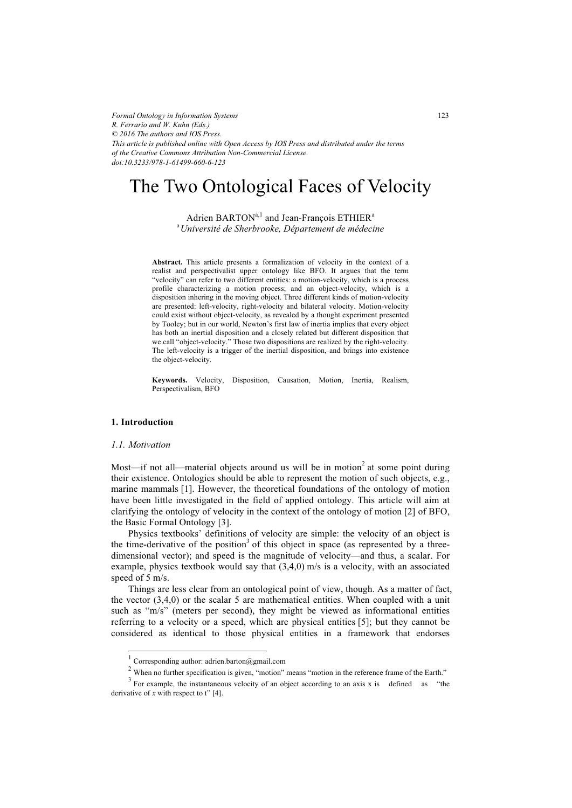*Formal Ontology in Information Systems R. Ferrario and W. Kuhn (Eds.) © 2016 The authors and IOS Press. This article is published online with Open Access by IOS Press and distributed under the terms of the Creative Commons Attribution Non-Commercial License. doi:10.3233/978-1-61499-660-6-123*

# The Two Ontological Faces of Velocity

Adrien BARTON<sup>a,1</sup> and Jean-François ETHIER<sup>a</sup> a *Université de Sherbrooke, Département de médecine* 

**Abstract.** This article presents a formalization of velocity in the context of a realist and perspectivalist upper ontology like BFO. It argues that the term "velocity" can refer to two different entities: a motion-velocity, which is a process profile characterizing a motion process; and an object-velocity, which is a disposition inhering in the moving object. Three different kinds of motion-velocity are presented: left-velocity, right-velocity and bilateral velocity. Motion-velocity could exist without object-velocity, as revealed by a thought experiment presented by Tooley; but in our world, Newton's first law of inertia implies that every object has both an inertial disposition and a closely related but different disposition that we call "object-velocity." Those two dispositions are realized by the right-velocity. The left-velocity is a trigger of the inertial disposition, and brings into existence the object-velocity.

**Keywords.** Velocity, Disposition, Causation, Motion, Inertia, Realism, Perspectivalism, BFO

# **1. Introduction**

# *1.1. Motivation*

-

Most—if not all—material objects around us will be in motion<sup>2</sup> at some point during their existence. Ontologies should be able to represent the motion of such objects, e.g., marine mammals [1]. However, the theoretical foundations of the ontology of motion have been little investigated in the field of applied ontology. This article will aim at clarifying the ontology of velocity in the context of the ontology of motion [2] of BFO, the Basic Formal Ontology [3].

Physics textbooks' definitions of velocity are simple: the velocity of an object is the time-derivative of the position<sup>3</sup> of this object in space (as represented by a threedimensional vector); and speed is the magnitude of velocity—and thus, a scalar. For example, physics textbook would say that  $(3,4,0)$  m/s is a velocity, with an associated speed of 5 m/s.

Things are less clear from an ontological point of view, though. As a matter of fact, the vector (3,4,0) or the scalar 5 are mathematical entities. When coupled with a unit such as "m/s" (meters per second), they might be viewed as informational entities referring to a velocity or a speed, which are physical entities [5]; but they cannot be considered as identical to those physical entities in a framework that endorses

<sup>1</sup> Corresponding author: adrien.barton@gmail.com

 $2$  When no further specification is given, "motion" means "motion in the reference frame of the Earth."

 $3$  For example, the instantaneous velocity of an object according to an axis x is defined as "the derivative of  $x$  with respect to t" [4].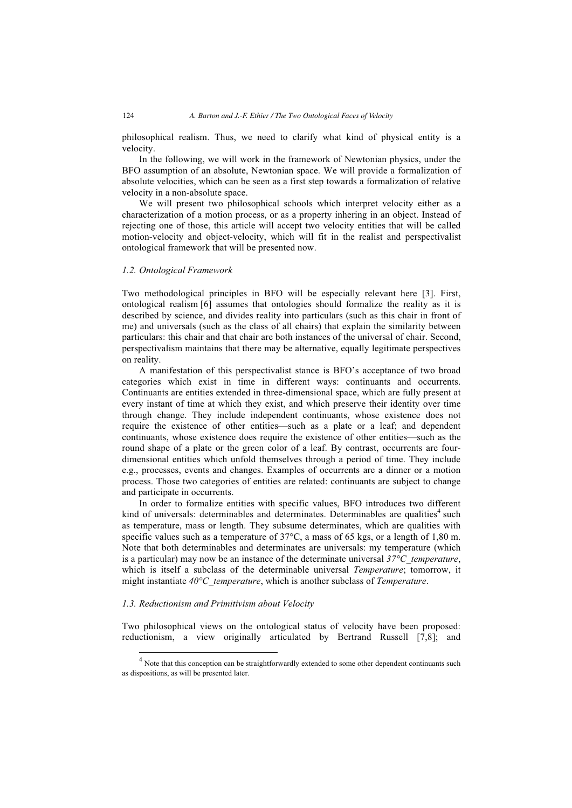philosophical realism. Thus, we need to clarify what kind of physical entity is a velocity.

In the following, we will work in the framework of Newtonian physics, under the BFO assumption of an absolute, Newtonian space. We will provide a formalization of absolute velocities, which can be seen as a first step towards a formalization of relative velocity in a non-absolute space.

We will present two philosophical schools which interpret velocity either as a characterization of a motion process, or as a property inhering in an object. Instead of rejecting one of those, this article will accept two velocity entities that will be called motion-velocity and object-velocity, which will fit in the realist and perspectivalist ontological framework that will be presented now.

# *1.2. Ontological Framework*

Two methodological principles in BFO will be especially relevant here [3]. First, ontological realism [6] assumes that ontologies should formalize the reality as it is described by science, and divides reality into particulars (such as this chair in front of me) and universals (such as the class of all chairs) that explain the similarity between particulars: this chair and that chair are both instances of the universal of chair. Second, perspectivalism maintains that there may be alternative, equally legitimate perspectives on reality.

A manifestation of this perspectivalist stance is BFO's acceptance of two broad categories which exist in time in different ways: continuants and occurrents. Continuants are entities extended in three-dimensional space, which are fully present at every instant of time at which they exist, and which preserve their identity over time through change. They include independent continuants, whose existence does not require the existence of other entities—such as a plate or a leaf; and dependent continuants, whose existence does require the existence of other entities—such as the round shape of a plate or the green color of a leaf. By contrast, occurrents are fourdimensional entities which unfold themselves through a period of time. They include e.g., processes, events and changes. Examples of occurrents are a dinner or a motion process. Those two categories of entities are related: continuants are subject to change and participate in occurrents.

In order to formalize entities with specific values, BFO introduces two different kind of universals: determinables and determinates. Determinables are qualities<sup>4</sup> such as temperature, mass or length. They subsume determinates, which are qualities with specific values such as a temperature of  $37^{\circ}$ C, a mass of 65 kgs, or a length of 1,80 m. Note that both determinables and determinates are universals: my temperature (which is a particular) may now be an instance of the determinate universal *37°C\_temperature*, which is itself a subclass of the determinable universal *Temperature*; tomorrow, it might instantiate *40°C\_temperature*, which is another subclass of *Temperature*.

# *1.3. Reductionism and Primitivism about Velocity*

-

Two philosophical views on the ontological status of velocity have been proposed: reductionism, a view originally articulated by Bertrand Russell [7,8]; and

<sup>&</sup>lt;sup>4</sup> Note that this conception can be straightforwardly extended to some other dependent continuants such as dispositions, as will be presented later.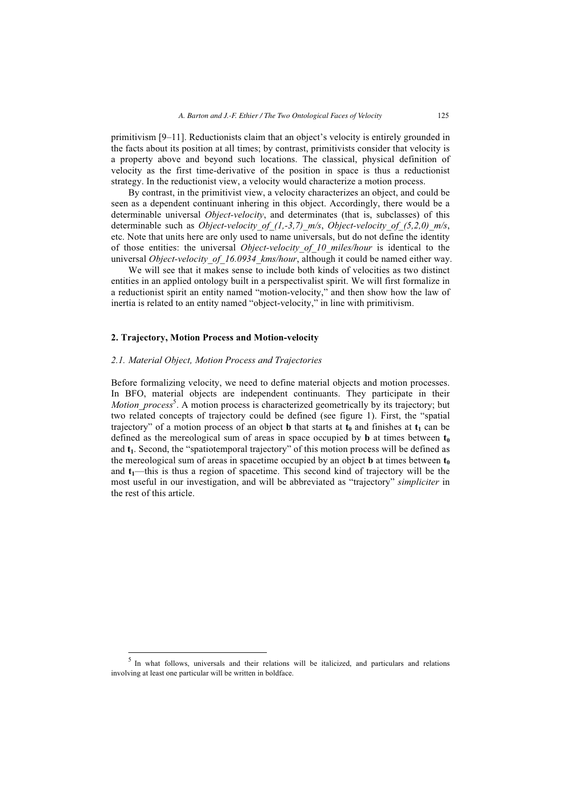primitivism [9–11]. Reductionists claim that an object's velocity is entirely grounded in the facts about its position at all times; by contrast, primitivists consider that velocity is a property above and beyond such locations. The classical, physical definition of velocity as the first time-derivative of the position in space is thus a reductionist strategy. In the reductionist view, a velocity would characterize a motion process.

By contrast, in the primitivist view, a velocity characterizes an object, and could be seen as a dependent continuant inhering in this object. Accordingly, there would be a determinable universal *Object-velocity*, and determinates (that is, subclasses) of this determinable such as *Object-velocity\_of\_(1,-3,7)\_m/s*, *Object-velocity\_of\_(5,2,0)\_m/s*, etc. Note that units here are only used to name universals, but do not define the identity of those entities: the universal *Object-velocity\_of\_10\_miles/hour* is identical to the universal *Object-velocity of 16.0934 kms/hour*, although it could be named either way.

We will see that it makes sense to include both kinds of velocities as two distinct entities in an applied ontology built in a perspectivalist spirit. We will first formalize in a reductionist spirit an entity named "motion-velocity," and then show how the law of inertia is related to an entity named "object-velocity," in line with primitivism.

# **2. Trajectory, Motion Process and Motion-velocity**

# *2.1. Material Object, Motion Process and Trajectories*

-

Before formalizing velocity, we need to define material objects and motion processes. In BFO, material objects are independent continuants. They participate in their Motion\_process<sup>5</sup>. A motion process is characterized geometrically by its trajectory; but two related concepts of trajectory could be defined (see figure 1). First, the "spatial trajectory" of a motion process of an object **b** that starts at  $t_0$  and finishes at  $t_1$  can be defined as the mereological sum of areas in space occupied by **b** at times between  $t_0$ and  $t_1$ . Second, the "spatiotemporal trajectory" of this motion process will be defined as the mereological sum of areas in spacetime occupied by an object **b** at times between  $t_0$ and  $t_1$ —this is thus a region of spacetime. This second kind of trajectory will be the most useful in our investigation, and will be abbreviated as "trajectory" *simpliciter* in the rest of this article.

<sup>&</sup>lt;sup>5</sup> In what follows, universals and their relations will be italicized, and particulars and relations involving at least one particular will be written in boldface.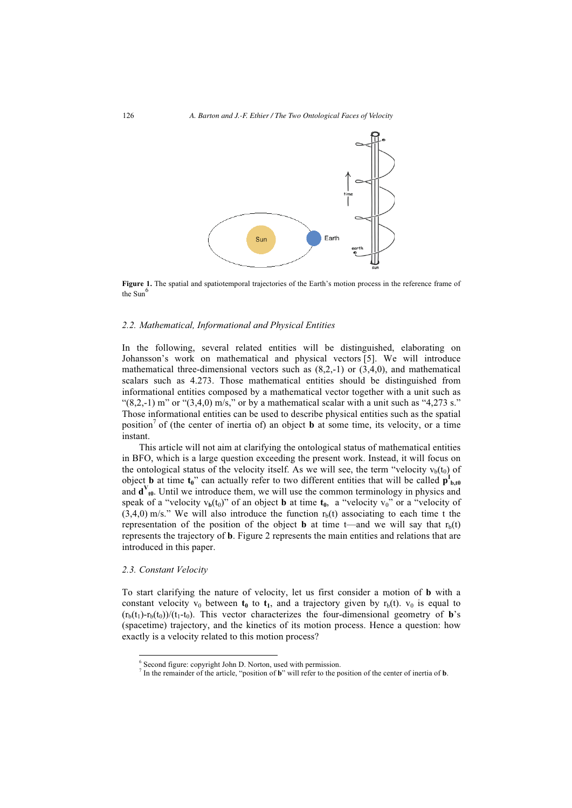

**Figure 1.** The spatial and spatiotemporal trajectories of the Earth's motion process in the reference frame of the  $Sum<sup>6</sup>$ 

#### *2.2. Mathematical, Informational and Physical Entities*

In the following, several related entities will be distinguished, elaborating on Johansson's work on mathematical and physical vectors [5]. We will introduce mathematical three-dimensional vectors such as  $(8,2,-1)$  or  $(3,4,0)$ , and mathematical scalars such as 4.273. Those mathematical entities should be distinguished from informational entities composed by a mathematical vector together with a unit such as " $(8,2,-1)$  m" or " $(3,4,0)$  m/s," or by a mathematical scalar with a unit such as " $4,273$  s." Those informational entities can be used to describe physical entities such as the spatial position<sup>7</sup> of (the center of inertia of) an object **b** at some time, its velocity, or a time instant.

This article will not aim at clarifying the ontological status of mathematical entities in BFO, which is a large question exceeding the present work. Instead, it will focus on the ontological status of the velocity itself. As we will see, the term "velocity  $v<sub>b</sub>(t<sub>0</sub>)$  of object **b** at time  $t_0$ " can actually refer to two different entities that will be called  $p_{b,t0}^I$ and  $\mathbf{d}^V_{\mathbf{t0}}$ . Until we introduce them, we will use the common terminology in physics and speak of a "velocity  $v_b(t_0)$ " of an object **b** at time  $t_0$ , a "velocity  $v_0$ " or a "velocity of  $(3,4,0)$  m/s." We will also introduce the function  $r<sub>b</sub>(t)$  associating to each time t the representation of the position of the object **b** at time t—and we will say that  $r<sub>b</sub>(t)$ represents the trajectory of **b**. Figure 2 represents the main entities and relations that are introduced in this paper.

#### *2.3. Constant Velocity*

-

To start clarifying the nature of velocity, let us first consider a motion of **b** with a constant velocity  $v_0$  between  $t_0$  to  $t_1$ , and a trajectory given by  $r_b(t)$ .  $v_0$  is equal to  $(r_b(t_1)-r_b(t_0))/(t_1-t_0)$ . This vector characterizes the four-dimensional geometry of **b**'s (spacetime) trajectory, and the kinetics of its motion process. Hence a question: how exactly is a velocity related to this motion process?

<sup>6</sup> Second figure: copyright John D. Norton, used with permission.

<sup>7</sup> In the remainder of the article, "position of **b**" will refer to the position of the center of inertia of **b**.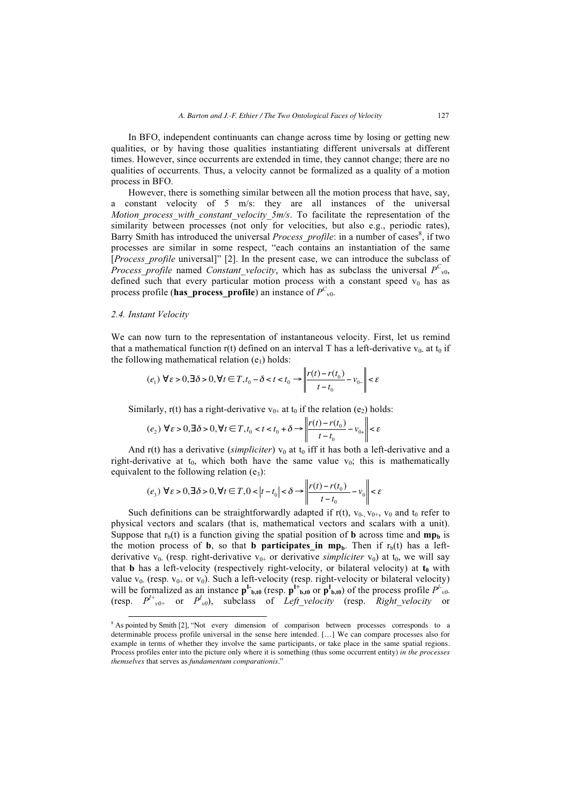In BFO, independent continuants can change across time by losing or getting new qualities, or by having those qualities instantiating different universals at different times. However, since occurrents are extended in time, they cannot change; there are no qualities of occurrents. Thus, a velocity cannot be formalized as a quality of a motion process in BFO.

However, there is something similar between all the motion process that have, say, a constant velocity of 5 m/s: they are all instances of the universal *Motion process with constant velocity 5m/s*. To facilitate the representation of the similarity between processes (not only for velocities, but also e.g., periodic rates), Barry Smith has introduced the universal *Process\_profile*: in a number of cases<sup>8</sup>, if two processes are similar in some respect, "each contains an instantiation of the same [*Process\_profile* universal]" [2]. In the present case, we can introduce the subclass of *Process\_profile* named *Constant\_velocity*, which has as subclass the universal  $P^{C}_{\nu 0}$ , defined such that every particular motion process with a constant speed  $v_0$  has as process profile (**has\_process\_profile**) an instance of  $P^C_{\text{vol}}$ .

# *2.4. Instant Velocity*

We can now turn to the representation of instantaneous velocity. First, let us remind that a mathematical function r(t) defined on an interval T has a left-derivative  $v_0$  at  $t_0$  if the following mathematical relation  $(e_1)$  holds:

$$
(e_1) \forall \varepsilon > 0, \exists \delta > 0, \forall t \in T, t_0 - \delta < t < t_0 \rightarrow \left\| \frac{r(t) - r(t_0)}{t - t_0} - v_{0-} \right\| < \varepsilon
$$

Similarly, r(t) has a right-derivative  $v_{0+}$  at  $t_0$  if the relation (e<sub>2</sub>) holds:

$$
(e_2) \forall \varepsilon > 0, \exists \delta > 0, \forall t \in T, t_0 < t < t_0 + \delta \rightarrow \left\| \frac{r(t) - r(t_0)}{t - t_0} - v_{0+} \right\| < \varepsilon
$$

And  $r(t)$  has a derivative (*simpliciter*)  $v_0$  at  $t_0$  iff it has both a left-derivative and a right-derivative at  $t_0$ , which both have the same value  $v_0$ ; this is mathematically equivalent to the following relation  $(e_3)$ :

$$
(e_3) \forall \varepsilon > 0, \exists \delta > 0, \forall t \in T, 0 < |t - t_0| < \delta \rightarrow \left\| \frac{r(t) - r(t_0)}{t - t_0} - v_0 \right\| < \varepsilon
$$

Such definitions can be straightforwardly adapted if  $r(t)$ ,  $v_{0-}$ ,  $v_{0+}$ ,  $v_0$  and  $t_0$  refer to physical vectors and scalars (that is, mathematical vectors and scalars with a unit). Suppose that  $r<sub>b</sub>(t)$  is a function giving the spatial position of **b** across time and **mp**<sub>b</sub> is the motion process of **b**, so that **b** participates in mp<sub>b</sub>. Then if  $r<sub>b</sub>(t)$  has a leftderivative  $v_0$ . (resp. right-derivative  $v_{0+}$  or derivative *simpliciter*  $v_0$ ) at  $t_0$ , we will say that **b** has a left-velocity (respectively right-velocity, or bilateral velocity) at  $t_0$  with value  $v_0$ . (resp.  $v_{0+}$  or  $v_0$ ). Such a left-velocity (resp. right-velocity or bilateral velocity) will be formalized as an instance  $p^I_{b,t0}$  (resp.  $p^{I+}_{b,t0}$  or  $p^I_{b,t0}$ ) of the process profile  $P^I_{v0}$ (resp.  $P^{I+}_{\nu 0+}$  or  $P^{I}{}_{\nu 0}$ ), subclass of *Left\_velocity* (resp. *Right\_velocity* or

<sup>&</sup>lt;sup>8</sup> As pointed by Smith [2], "Not every dimension of comparison between processes corresponds to a determinable process profile universal in the sense here intended. […] We can compare processes also for example in terms of whether they involve the same participants, or take place in the same spatial regions. Process profiles enter into the picture only where it is something (thus some occurrent entity) *in the processes themselves* that serves as *fundamentum comparationis*."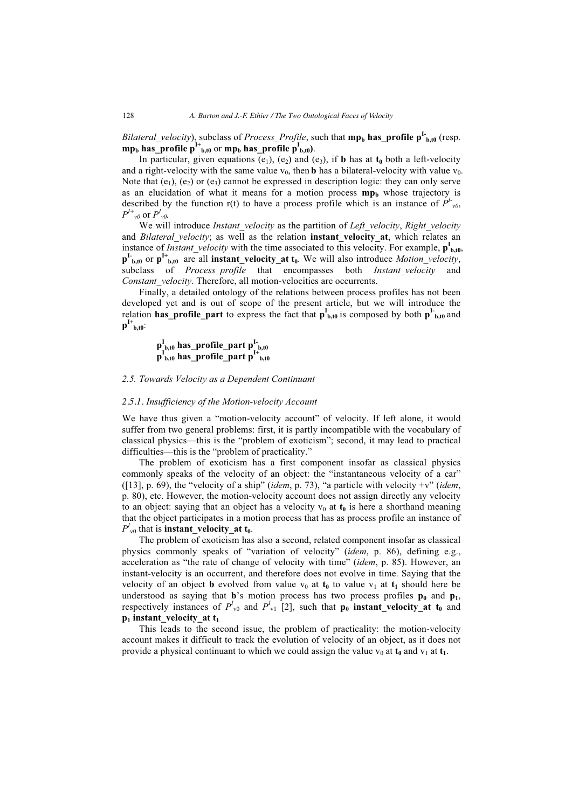*Bilateral\_velocity*), subclass of *Process\_Profile*, such that **mp<sub>b</sub> has\_profile p<sup>I-</sup><sub>b,t0</sub>** (resp.  $\mathbf{mp}_b$  has\_profile  $p^{I+}_{b,t0}$  or  $\mathbf{mp}_b$  has\_profile  $p^{I}_{b,t0}$ ).

In particular, given equations  $(e_1)$ ,  $(e_2)$  and  $(e_3)$ , if **b** has at  $t_0$  both a left-velocity and a right-velocity with the same value  $v_0$ , then **b** has a bilateral-velocity with value  $v_0$ . Note that  $(e_1)$ ,  $(e_2)$  or  $(e_3)$  cannot be expressed in description logic: they can only serve as an elucidation of what it means for a motion process  $mp<sub>b</sub>$  whose trajectory is described by the function  $r(t)$  to have a process profile which is an instance of  $P^{I_{\nu 0}}$ ,  $P^{I+}{}_{\nu\theta}$  or  $P^{I}{}_{\nu\theta}$ .

We will introduce *Instant* velocity as the partition of *Left* velocity, *Right* velocity and *Bilateral velocity*; as well as the relation **instant velocity at**, which relates an instance of *Instant\_velocity* with the time associated to this velocity. For example,  $p_{b,t0}^I$ ,  $\mathbf{p}^{\mathbf{I}_{b,t0}}$  or  $\mathbf{p}^{\mathbf{I}_{b,t0}}$  are all **instant\_velocity\_at t**<sub>0</sub>. We will also introduce *Motion\_velocity*, subclass of *Process profile* that encompasses both *Instant velocity* and *Constant\_velocity*. Therefore, all motion-velocities are occurrents.

Finally, a detailed ontology of the relations between process profiles has not been developed yet and is out of scope of the present article, but we will introduce the relation **has\_profile\_part** to express the fact that  $p_{b,t0}^I$  is composed by both  $p_{b,t0}^I$  and  $p^{I+}_{b,t0}$ :

# **pI b,t0 has\_profile\_part pI-b,t0 pI b,t0 has\_profile\_part pI+b,t0**

# *2.5. Towards Velocity as a Dependent Continuant*

# *2.5.1. Insufficiency of the Motion-velocity Account*

We have thus given a "motion-velocity account" of velocity. If left alone, it would suffer from two general problems: first, it is partly incompatible with the vocabulary of classical physics—this is the "problem of exoticism"; second, it may lead to practical difficulties—this is the "problem of practicality."

The problem of exoticism has a first component insofar as classical physics commonly speaks of the velocity of an object: the "instantaneous velocity of a car" ([13], p. 69), the "velocity of a ship" (*idem*, p. 73), "a particle with velocity +v" (*idem*, p. 80), etc. However, the motion-velocity account does not assign directly any velocity to an object: saying that an object has a velocity  $v_0$  at  $t_0$  is here a shorthand meaning that the object participates in a motion process that has as process profile an instance of  $P^I_{\nu 0}$  that is **instant\_velocity\_at t**<sub>0</sub>.

The problem of exoticism has also a second, related component insofar as classical physics commonly speaks of "variation of velocity" (*idem*, p. 86), defining e.g., acceleration as "the rate of change of velocity with time" (*idem*, p. 85). However, an instant-velocity is an occurrent, and therefore does not evolve in time. Saying that the velocity of an object **b** evolved from value  $v_0$  at  $t_0$  to value  $v_1$  at  $t_1$  should here be understood as saying that  $\mathbf{b}$ 's motion process has two process profiles  $\mathbf{p}_0$  and  $\mathbf{p}_1$ , respectively instances of  $P^I_{\nu 0}$  and  $P^I_{\nu 1}$  [2], such that  $\mathbf{p}_0$  **instant\_velocity\_at t**<sub>0</sub> and  $p_1$  **instant** velocity at  $t_1$ .

This leads to the second issue, the problem of practicality: the motion-velocity account makes it difficult to track the evolution of velocity of an object, as it does not provide a physical continuant to which we could assign the value  $v_0$  at  $t_0$  and  $v_1$  at  $t_1$ .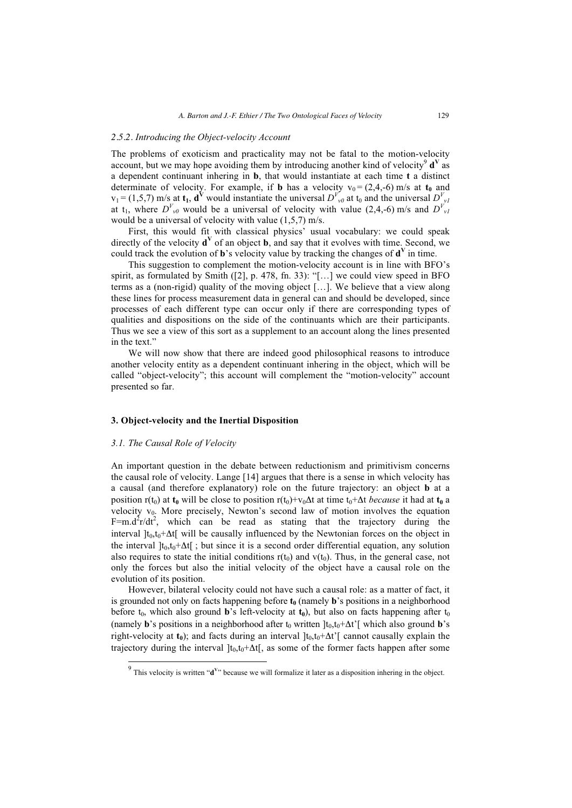# *2.5.2. Introducing the Object-velocity Account*

The problems of exoticism and practicality may not be fatal to the motion-velocity account, but we may hope avoiding them by introducing another kind of velocity<sup>9</sup>  $\mathbf{d}^V$  as a dependent continuant inhering in **b**, that would instantiate at each time **t** a distinct determinate of velocity. For example, if **b** has a velocity  $v_0 = (2,4,-6)$  m/s at  $t_0$  and  $v_1 = (1,5,7)$  m/s at  $t_1$ ,  $d^V$  would instantiate the universal  $D^{V}_{v0}$  at  $t_0$  and the universal  $D^{V}_{v1}$ at t<sub>1</sub>, where  $D^{V}_{\nu 0}$  would be a universal of velocity with value (2,4,-6) m/s and  $D^{V}_{\nu 1}$ would be a universal of velocity with value (1,5,7) m/s.

First, this would fit with classical physics' usual vocabulary: we could speak directly of the velocity  $\mathbf{d}^V$  of an object **b**, and say that it evolves with time. Second, we could track the evolution of **b**'s velocity value by tracking the changes of  $\mathbf{d}^V$  in time.

This suggestion to complement the motion-velocity account is in line with BFO's spirit, as formulated by Smith ([2], p. 478, fn. 33): "[...] we could view speed in BFO terms as a (non-rigid) quality of the moving object […]. We believe that a view along these lines for process measurement data in general can and should be developed, since processes of each different type can occur only if there are corresponding types of qualities and dispositions on the side of the continuants which are their participants. Thus we see a view of this sort as a supplement to an account along the lines presented in the text."

We will now show that there are indeed good philosophical reasons to introduce another velocity entity as a dependent continuant inhering in the object, which will be called "object-velocity"; this account will complement the "motion-velocity" account presented so far.

### **3. Object-velocity and the Inertial Disposition**

### *3.1. The Causal Role of Velocity*

-

An important question in the debate between reductionism and primitivism concerns the causal role of velocity. Lange [14] argues that there is a sense in which velocity has a causal (and therefore explanatory) role on the future trajectory: an object **b** at a position r(t<sub>0</sub>) at **t**<sub>0</sub> will be close to position r(t<sub>0</sub>)+v<sub>0</sub> $\Delta$ t at time t<sub>0</sub>+ $\Delta$ t *because* it had at **t**<sub>0</sub> a velocity  $v_0$ . More precisely, Newton's second law of motion involves the equation F=m.d<sup>2</sup>r/dt<sup>2</sup>, which can be read as stating that the trajectory during the interval  $]t_0,t_0+\Delta t[$  will be causally influenced by the Newtonian forces on the object in the interval  $[t_0, t_0+\Delta t]$ ; but since it is a second order differential equation, any solution also requires to state the initial conditions  $r(t_0)$  and  $v(t_0)$ . Thus, in the general case, not only the forces but also the initial velocity of the object have a causal role on the evolution of its position.

However, bilateral velocity could not have such a causal role: as a matter of fact, it is grounded not only on facts happening before  $t_0$  (namely  $\mathbf{b}$ 's positions in a neighborhood before  $t_0$ , which also ground **b**'s left-velocity at  $t_0$ ), but also on facts happening after  $t_0$ (namely **b**'s positions in a neighborhood after  $t_0$  written  $]t_0, t_0 + \Delta t'$ ] which also ground **b**'s right-velocity at  $t_0$ ); and facts during an interval  $]t_0,t_0+\Delta t'$ [ cannot causally explain the trajectory during the interval  $]t_0,t_0+\Delta t[$ , as some of the former facts happen after some

<sup>9</sup> This velocity is written "**d<sup>V</sup>**" because we will formalize it later as a disposition inhering in the object.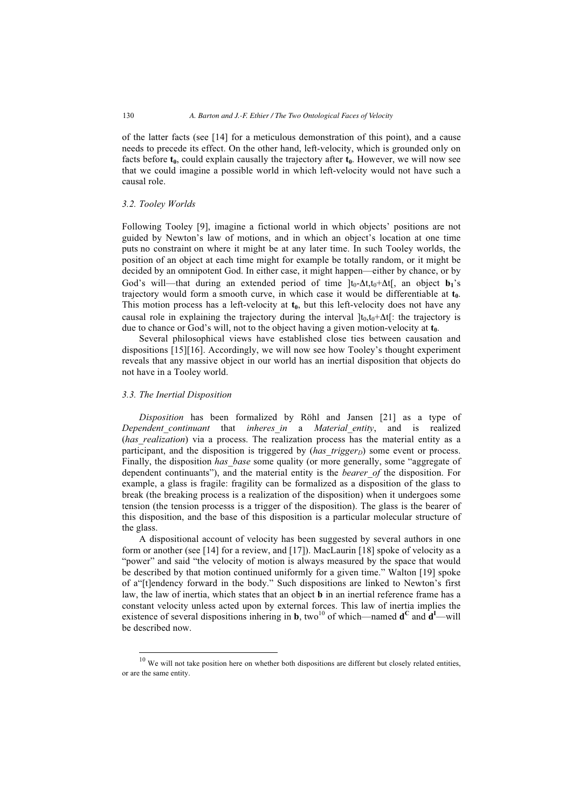of the latter facts (see [14] for a meticulous demonstration of this point), and a cause needs to precede its effect. On the other hand, left-velocity, which is grounded only on facts before  $t_0$ , could explain causally the trajectory after  $t_0$ . However, we will now see that we could imagine a possible world in which left-velocity would not have such a causal role.

#### *3.2. Tooley Worlds*

Following Tooley [9], imagine a fictional world in which objects' positions are not guided by Newton's law of motions, and in which an object's location at one time puts no constraint on where it might be at any later time. In such Tooley worlds, the position of an object at each time might for example be totally random, or it might be decided by an omnipotent God. In either case, it might happen—either by chance, or by God's will—that during an extended period of time  $[t_0-\Delta t, t_0+\Delta t]$ , an object **b**<sub>1</sub>'s trajectory would form a smooth curve, in which case it would be differentiable at  $t_0$ . This motion process has a left-velocity at  $t_0$ , but this left-velocity does not have any causal role in explaining the trajectory during the interval  $[t_0,t_0+\Delta t]$ : the trajectory is due to chance or God's will, not to the object having a given motion-velocity at  $t_0$ .

Several philosophical views have established close ties between causation and dispositions [15][16]. Accordingly, we will now see how Tooley's thought experiment reveals that any massive object in our world has an inertial disposition that objects do not have in a Tooley world.

#### *3.3. The Inertial Disposition*

-

*Disposition* has been formalized by Röhl and Jansen [21] as a type of *Dependent\_continuant* that *inheres\_in* a *Material\_entity*, and is realized (*has realization*) via a process. The realization process has the material entity as a participant, and the disposition is triggered by (*has trigger<sub>D</sub>*) some event or process. Finally, the disposition *has base* some quality (or more generally, some "aggregate of dependent continuants"), and the material entity is the *bearer\_of* the disposition. For example, a glass is fragile: fragility can be formalized as a disposition of the glass to break (the breaking process is a realization of the disposition) when it undergoes some tension (the tension processs is a trigger of the disposition). The glass is the bearer of this disposition, and the base of this disposition is a particular molecular structure of the glass.

A dispositional account of velocity has been suggested by several authors in one form or another (see [14] for a review, and [17]). MacLaurin [18] spoke of velocity as a "power" and said "the velocity of motion is always measured by the space that would be described by that motion continued uniformly for a given time." Walton [19] spoke of a"[t]endency forward in the body." Such dispositions are linked to Newton's first law, the law of inertia, which states that an object **b** in an inertial reference frame has a constant velocity unless acted upon by external forces. This law of inertia implies the existence of several dispositions inhering in **b**, two<sup>10</sup> of which—named  $d^C$  and  $d^I$ —will be described now.

 $10$  We will not take position here on whether both dispositions are different but closely related entities, or are the same entity.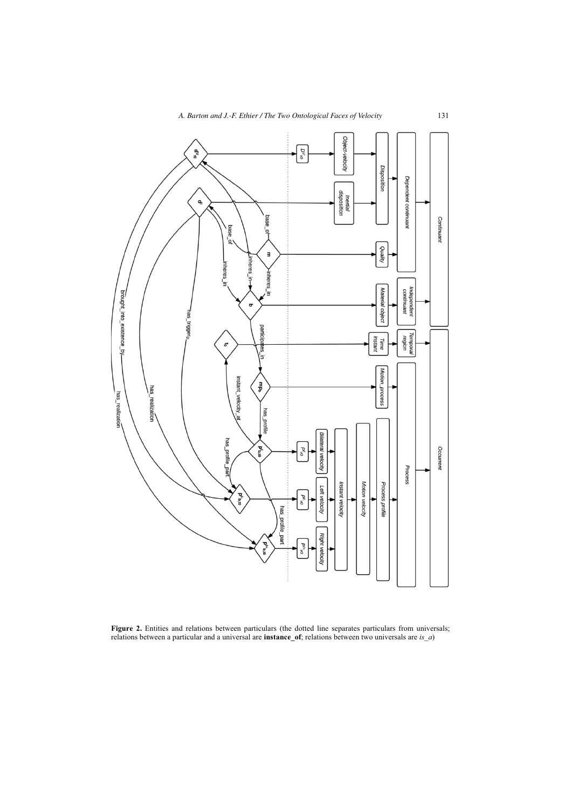

Figure 2. Entities and relations between particulars (the dotted line separates particulars from universals; relations between a particular and a universal are **instance\_of**; relations between two universals are *is\_a*)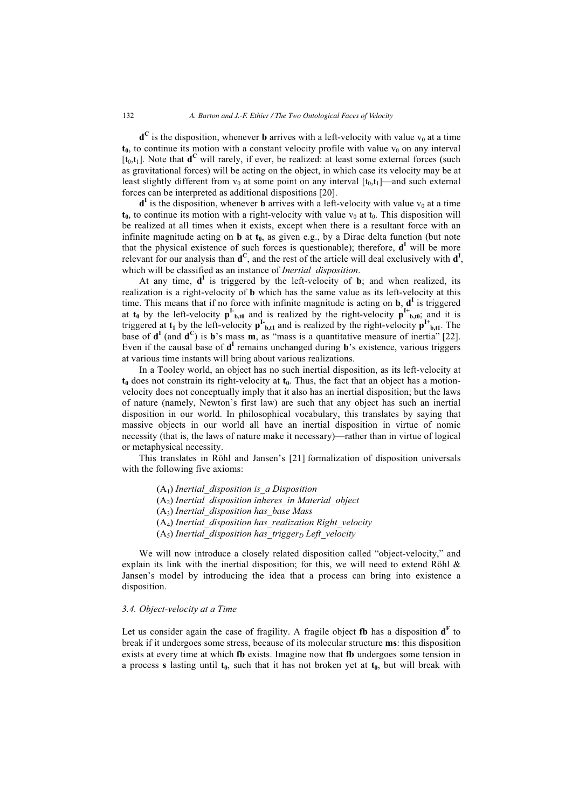$\mathbf{d}^{\mathbf{C}}$  is the disposition, whenever **b** arrives with a left-velocity with value  $v_0$  at a time  $t_0$ , to continue its motion with a constant velocity profile with value  $v_0$  on any interval  $[t_0,t_1]$ . Note that  $\mathbf{d}^C$  will rarely, if ever, be realized: at least some external forces (such as gravitational forces) will be acting on the object, in which case its velocity may be at least slightly different from  $v_0$  at some point on any interval  $[t_0,t_1]$ —and such external forces can be interpreted as additional dispositions [20].

 $\mathbf{d}^{\mathbf{I}}$  is the disposition, whenever **b** arrives with a left-velocity with value  $v_0$  at a time  $t_0$ , to continue its motion with a right-velocity with value  $v_0$  at  $t_0$ . This disposition will be realized at all times when it exists, except when there is a resultant force with an infinite magnitude acting on  $\bf{b}$  at  $\bf{t_0}$ , as given e.g., by a Dirac delta function (but note that the physical existence of such forces is questionable); therefore,  $\mathbf{d}^{\mathbf{I}}$  will be more relevant for our analysis than **d<sup>C</sup>**, and the rest of the article will deal exclusively with **d<sup>I</sup>** , which will be classified as an instance of *Inertial\_disposition*.

At any time,  $d^I$  is triggered by the left-velocity of **b**; and when realized, its realization is a right-velocity of **b** which has the same value as its left-velocity at this time. This means that if no force with infinite magnitude is acting on **b**, **d<sup>I</sup>** is triggered at  $t_0$  by the left-velocity  $p^L_{b,t0}$  and is realized by the right-velocity  $p^{L}_{b,t0}$ ; and it is triggered at  $t_1$  by the left-velocity  $p^L_{b,t1}$  and is realized by the right-velocity  $p^L_{b,t1}$ . The base of  $\mathbf{d}^{\mathbf{I}}$  (and  $\mathbf{d}^{\mathbf{C}}$ ) is  $\mathbf{b}$ 's mass  $\mathbf{m}$ , as "mass is a quantitative measure of inertia" [22]. Even if the causal base of  $\mathbf{d}^{\mathbf{I}}$  remains unchanged during  $\mathbf{b}$ 's existence, various triggers at various time instants will bring about various realizations.

In a Tooley world, an object has no such inertial disposition, as its left-velocity at  $t_0$  does not constrain its right-velocity at  $t_0$ . Thus, the fact that an object has a motionvelocity does not conceptually imply that it also has an inertial disposition; but the laws of nature (namely, Newton's first law) are such that any object has such an inertial disposition in our world. In philosophical vocabulary, this translates by saying that massive objects in our world all have an inertial disposition in virtue of nomic necessity (that is, the laws of nature make it necessary)—rather than in virtue of logical or metaphysical necessity.

This translates in Röhl and Jansen's [21] formalization of disposition universals with the following five axioms:

> (A1) *Inertial\_disposition is\_a Disposition*  (A2) *Inertial\_disposition inheres\_in Material\_object*  (A3) *Inertial\_disposition has\_base Mass*  (A4) *Inertial\_disposition has\_realization Right\_velocity*   $(A<sub>5</sub>)$  *Inertial disposition has trigger<sub>D</sub> Left velocity*

We will now introduce a closely related disposition called "object-velocity," and explain its link with the inertial disposition; for this, we will need to extend Röhl  $\&$ Jansen's model by introducing the idea that a process can bring into existence a disposition.

# *3.4. Object-velocity at a Time*

Let us consider again the case of fragility. A fragile object fb has a disposition  $\mathbf{d}^{\text{F}}$  to break if it undergoes some stress, because of its molecular structure **ms**: this disposition exists at every time at which **fb** exists. Imagine now that **fb** undergoes some tension in a process **s** lasting until  $t_0$ , such that it has not broken yet at  $t_0$ , but will break with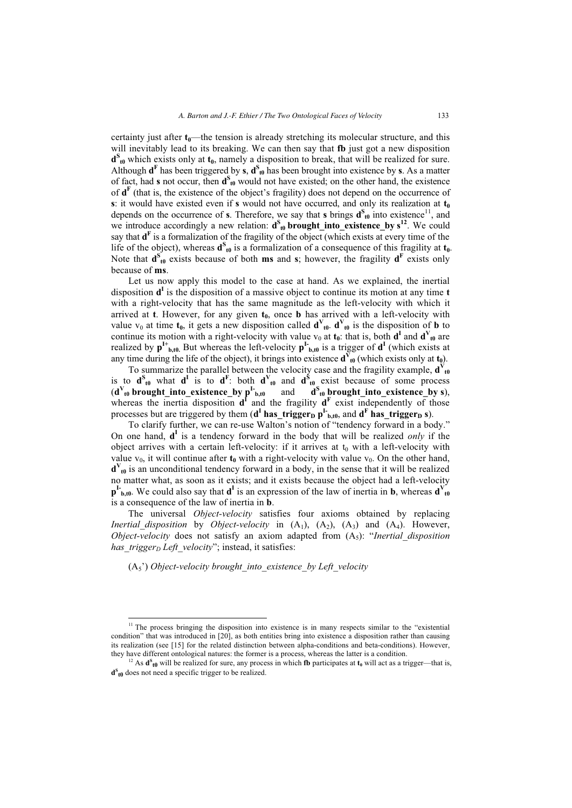certainty just after  $t_0$ —the tension is already stretching its molecular structure, and this will inevitably lead to its breaking. We can then say that **fb** just got a new disposition  $d_{\text{t0}}^{\text{S}}$  which exists only at  $t_0$ , namely a disposition to break, that will be realized for sure. Although  $d^F$  has been triggered by **s**,  $d^S$ <sub>10</sub> has been brought into existence by **s**. As a matter of fact, had **s** not occur, then  $d_{t0}^{s}$  would not have existed; on the other hand, the existence of  $\mathbf{d}^{\mathbf{F}}$  (that is, the existence of the object's fragility) does not depend on the occurrence of **s**: it would have existed even if **s** would not have occurred, and only its realization at  $t_0$ depends on the occurrence of **s**. Therefore, we say that **s** brings  $d_{t0}^{s}$  into existence<sup>11</sup>, and we introduce accordingly a new relation:  $d_{\theta}^{s}$  **brought\_into\_existence\_by**  $s^{12}$ . We could say that  $\mathbf{d}^{\mathbf{F}}$  is a formalization of the fragility of the object (which exists at every time of the life of the object), whereas  $\mathbf{d}_{t0}^{\mathbf{S}}$  is a formalization of a consequence of this fragility at  $\mathbf{t}_0$ . Note that  $d_{\theta}^{S}$  exists because of both **ms** and **s**; however, the fragility  $d^{F}$  exists only because of **ms**.

Let us now apply this model to the case at hand. As we explained, the inertial disposition **d<sup>I</sup>** is the disposition of a massive object to continue its motion at any time **t** with a right-velocity that has the same magnitude as the left-velocity with which it arrived at **t**. However, for any given  $t_0$ , once **b** has arrived with a left-velocity with value  $v_0$  at time  $t_0$ , it gets a new disposition called  $\mathbf{d}^V_{t_0}$ .  $\mathbf{d}^V_{t_0}$  is the disposition of **b** to continue its motion with a right-velocity with value  $v_0$  at  $t_0$ : that is, both  $d^I$  and  $d^V_{t0}$  are realized by  $p^{I+}_{b,t0}$ . But whereas the left-velocity  $p^{I-}_{b,t0}$  is a trigger of  $d^{I}$  (which exists at any time during the life of the object), it brings into existence  $\mathbf{d}_{\theta}^{\mathbf{V}}$  (which exists only at  $\mathbf{t}_{0}$ ).

To summarize the parallel between the velocity case and the fragility example,  $\mathbf{d}_{\text{tot}}^V$ is to  $d^S$ <sub>t0</sub> what  $d^I$  is to  $d^F$ : both  $d^V$ <sub>t0</sub> and  $d^S$ <sub>t0</sub> exist because of some process  $(d^V_{t0}$  brought\_into\_existence\_by  $p^I_{b,t0}$  and  $d^S_{t0}$  brought\_into\_existence\_by s), whereas the inertia disposition  $d^I$  and the fragility  $d^F$  exist independently of those processes but are triggered by them  $(d^I \text{ has\_trigger}_D p^I_{b,t0})$ , and  $d^F \text{ has\_trigger}_D s)$ .

To clarify further, we can re-use Walton's notion of "tendency forward in a body." On one hand, **d<sup>I</sup>** is a tendency forward in the body that will be realized *only* if the object arrives with a certain left-velocity: if it arrives at  $t_0$  with a left-velocity with value  $v_0$ , it will continue after  $t_0$  with a right-velocity with value  $v_0$ . On the other hand,  $\mathbf{d}^V_{\mathbf{t0}}$  is an unconditional tendency forward in a body, in the sense that it will be realized no matter what, as soon as it exists; and it exists because the object had a left-velocity  $\mathbf{p}^{\text{L}}_{\text{b},\text{t0}}$ . We could also say that  $\mathbf{d}^{\text{I}}$  is an expression of the law of inertia in **b**, whereas  $\mathbf{d}^{\text{V}}_{\text{t0}}$ is a consequence of the law of inertia in **b**.

The universal *Object-velocity* satisfies four axioms obtained by replacing *Inertial disposition* by *Object-velocity* in  $(A_1)$ ,  $(A_2)$ ,  $(A_3)$  and  $(A_4)$ . However, *Object-velocity* does not satisfy an axiom adapted from  $(A_5)$ : "*Inertial disposition has\_trigger<sub>D</sub> Left\_velocity*"; instead, it satisfies:

(A5') *Object-velocity brought\_into\_existence\_by Left\_velocity* 

-

 $11$  The process bringing the disposition into existence is in many respects similar to the "existential" condition" that was introduced in [20], as both entities bring into existence a disposition rather than causing its realization (see [15] for the related distinction between alpha-conditions and beta-conditions). However,

they have different ontological natures: the former is a process, whereas the latter is a condition.<br><sup>12</sup> As  $\mathbf{d}^s_{\mathbf{t}\mathbf{0}}$  will be realized for sure, any process in which **fb** participates at  $\mathbf{t}_0$  will act a **dS t0** does not need a specific trigger to be realized.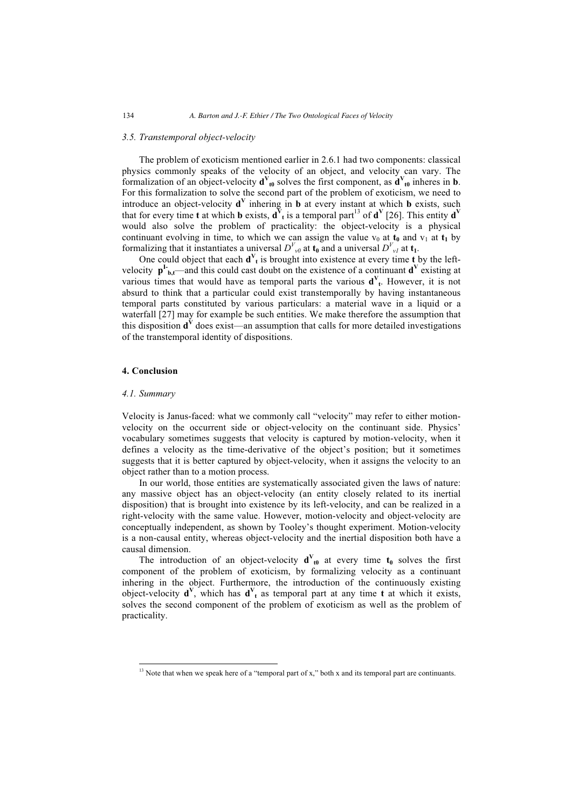# *3.5. Transtemporal object-velocity*

The problem of exoticism mentioned earlier in 2.6.1 had two components: classical physics commonly speaks of the velocity of an object, and velocity can vary. The formalization of an object-velocity  $\mathbf{d}^V_{t0}$  solves the first component, as  $\mathbf{d}^V_{t0}$  inheres in **b**. For this formalization to solve the second part of the problem of exoticism, we need to introduce an object-velocity **d<sup>V</sup>** inhering in **b** at every instant at which **b** exists, such that for every time **t** at which **b** exists,  $\mathbf{d}^{\mathbf{V}}$  is a temporal part<sup>13</sup> of  $\mathbf{d}^{\mathbf{V}}$  [26]. This entity  $\mathbf{d}^{\mathbf{V}}$ would also solve the problem of practicality: the object-velocity is a physical continuant evolving in time, to which we can assign the value  $v_0$  at  $t_0$  and  $v_1$  at  $t_1$  by formalizing that it instantiates a universal  $D^{V}_{v0}$  at  $\mathbf{t}_0$  and a universal  $D^{V}_{v1}$  at  $\mathbf{t}_1$ .

One could object that each  $\mathbf{d}^V$ <sub>t</sub> is brought into existence at every time **t** by the leftvelocity  $p^I_{b,t}$ —and this could cast doubt on the existence of a continuant  $d^V$  existing at various times that would have as temporal parts the various  $\mathbf{d}^V$ <sub>t</sub>. However, it is not absurd to think that a particular could exist transtemporally by having instantaneous temporal parts constituted by various particulars: a material wave in a liquid or a waterfall [27] may for example be such entities. We make therefore the assumption that this disposition  $\mathbf{d}^V$  does exist—an assumption that calls for more detailed investigations of the transtemporal identity of dispositions.

# **4. Conclusion**

#### *4.1. Summary*

-

Velocity is Janus-faced: what we commonly call "velocity" may refer to either motionvelocity on the occurrent side or object-velocity on the continuant side. Physics' vocabulary sometimes suggests that velocity is captured by motion-velocity, when it defines a velocity as the time-derivative of the object's position; but it sometimes suggests that it is better captured by object-velocity, when it assigns the velocity to an object rather than to a motion process.

In our world, those entities are systematically associated given the laws of nature: any massive object has an object-velocity (an entity closely related to its inertial disposition) that is brought into existence by its left-velocity, and can be realized in a right-velocity with the same value. However, motion-velocity and object-velocity are conceptually independent, as shown by Tooley's thought experiment. Motion-velocity is a non-causal entity, whereas object-velocity and the inertial disposition both have a causal dimension.

The introduction of an object-velocity  $\mathbf{d}^V_{t0}$  at every time  $\mathbf{t}_0$  solves the first component of the problem of exoticism, by formalizing velocity as a continuant inhering in the object. Furthermore, the introduction of the continuously existing object-velocity  $\mathbf{d}^V$ , which has  $\mathbf{d}^V$  as temporal part at any time **t** at which it exists, solves the second component of the problem of exoticism as well as the problem of practicality.

<sup>&</sup>lt;sup>13</sup> Note that when we speak here of a "temporal part of x," both x and its temporal part are continuants.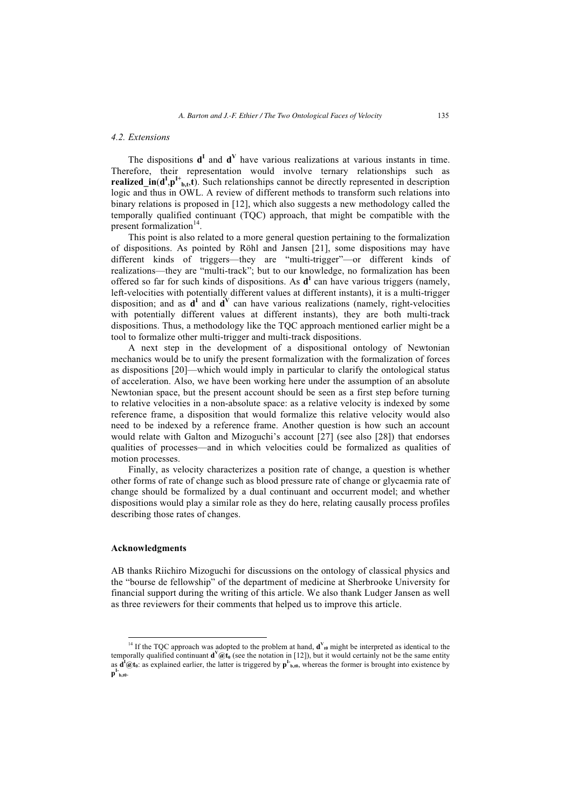### *4.2. Extensions*

The dispositions  $\mathbf{d}^{\mathbf{I}}$  and  $\mathbf{d}^{\mathbf{V}}$  have various realizations at various instants in time. Therefore, their representation would involve ternary relationships such as **realized\_in(** $d^I$ **,** $p^I$ **<sup>+</sup><sub>b,t</sub>,t**). Such relationships cannot be directly represented in description logic and thus in OWL. A review of different methods to transform such relations into binary relations is proposed in [12], which also suggests a new methodology called the temporally qualified continuant (TQC) approach, that might be compatible with the present formalization $14$ .

This point is also related to a more general question pertaining to the formalization of dispositions. As pointed by Röhl and Jansen [21], some dispositions may have different kinds of triggers—they are "multi-trigger"—or different kinds of realizations—they are "multi-track"; but to our knowledge, no formalization has been offered so far for such kinds of dispositions. As **d<sup>I</sup>** can have various triggers (namely, left-velocities with potentially different values at different instants), it is a multi-trigger disposition; and as  $d^I$  and  $d^V$  can have various realizations (namely, right-velocities with potentially different values at different instants), they are both multi-track dispositions. Thus, a methodology like the TQC approach mentioned earlier might be a tool to formalize other multi-trigger and multi-track dispositions.

A next step in the development of a dispositional ontology of Newtonian mechanics would be to unify the present formalization with the formalization of forces as dispositions [20]—which would imply in particular to clarify the ontological status of acceleration. Also, we have been working here under the assumption of an absolute Newtonian space, but the present account should be seen as a first step before turning to relative velocities in a non-absolute space: as a relative velocity is indexed by some reference frame, a disposition that would formalize this relative velocity would also need to be indexed by a reference frame. Another question is how such an account would relate with Galton and Mizoguchi's account [27] (see also [28]) that endorses qualities of processes—and in which velocities could be formalized as qualities of motion processes.

Finally, as velocity characterizes a position rate of change, a question is whether other forms of rate of change such as blood pressure rate of change or glycaemia rate of change should be formalized by a dual continuant and occurrent model; and whether dispositions would play a similar role as they do here, relating causally process profiles describing those rates of changes.

#### **Acknowledgments**

-

AB thanks Riichiro Mizoguchi for discussions on the ontology of classical physics and the "bourse de fellowship" of the department of medicine at Sherbrooke University for financial support during the writing of this article. We also thank Ludger Jansen as well as three reviewers for their comments that helped us to improve this article.

<sup>&</sup>lt;sup>14</sup> If the TQC approach was adopted to the problem at hand,  $\mathbf{d}^V_{\theta}$  might be interpreted as identical to the temporally qualified continuant  $\mathbf{d}^V Q \mathbf{t}_0$  (see the notation in [12]), but it would certainly not be the same entity as  $d^i\omega t_0$ : as explained earlier, the latter is triggered by  $p^i{}_{b,t0}$ , whereas the former is brought into existence by  $\mathbf{p}^{\text{I-}}_{\text{b},\text{t0}}$